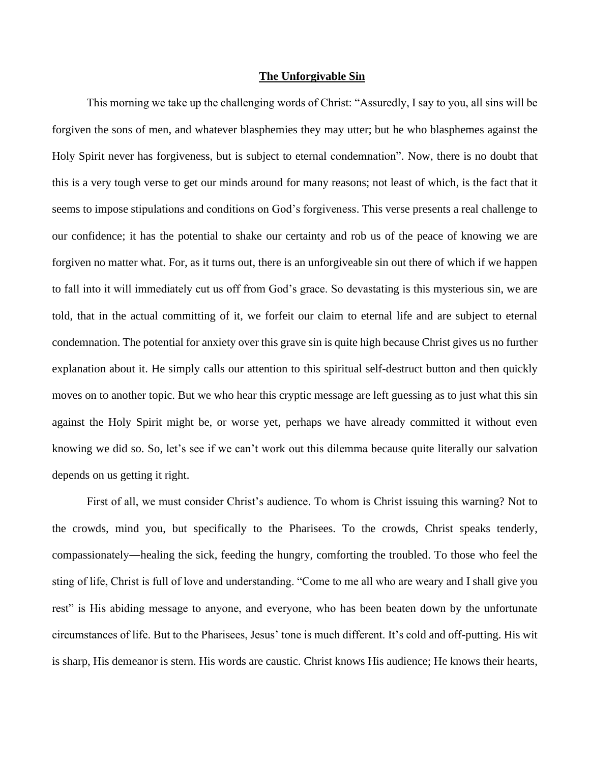## **The Unforgivable Sin**

This morning we take up the challenging words of Christ: "Assuredly, I say to you, all sins will be forgiven the sons of men, and whatever blasphemies they may utter; but he who blasphemes against the Holy Spirit never has forgiveness, but is subject to eternal condemnation". Now, there is no doubt that this is a very tough verse to get our minds around for many reasons; not least of which, is the fact that it seems to impose stipulations and conditions on God's forgiveness. This verse presents a real challenge to our confidence; it has the potential to shake our certainty and rob us of the peace of knowing we are forgiven no matter what. For, as it turns out, there is an unforgiveable sin out there of which if we happen to fall into it will immediately cut us off from God's grace. So devastating is this mysterious sin, we are told, that in the actual committing of it, we forfeit our claim to eternal life and are subject to eternal condemnation. The potential for anxiety over this grave sin is quite high because Christ gives us no further explanation about it. He simply calls our attention to this spiritual self-destruct button and then quickly moves on to another topic. But we who hear this cryptic message are left guessing as to just what this sin against the Holy Spirit might be, or worse yet, perhaps we have already committed it without even knowing we did so. So, let's see if we can't work out this dilemma because quite literally our salvation depends on us getting it right.

 First of all, we must consider Christ's audience. To whom is Christ issuing this warning? Not to the crowds, mind you, but specifically to the Pharisees. To the crowds, Christ speaks tenderly, compassionately―healing the sick, feeding the hungry, comforting the troubled. To those who feel the sting of life, Christ is full of love and understanding. "Come to me all who are weary and I shall give you rest" is His abiding message to anyone, and everyone, who has been beaten down by the unfortunate circumstances of life. But to the Pharisees, Jesus' tone is much different. It's cold and off-putting. His wit is sharp, His demeanor is stern. His words are caustic. Christ knows His audience; He knows their hearts,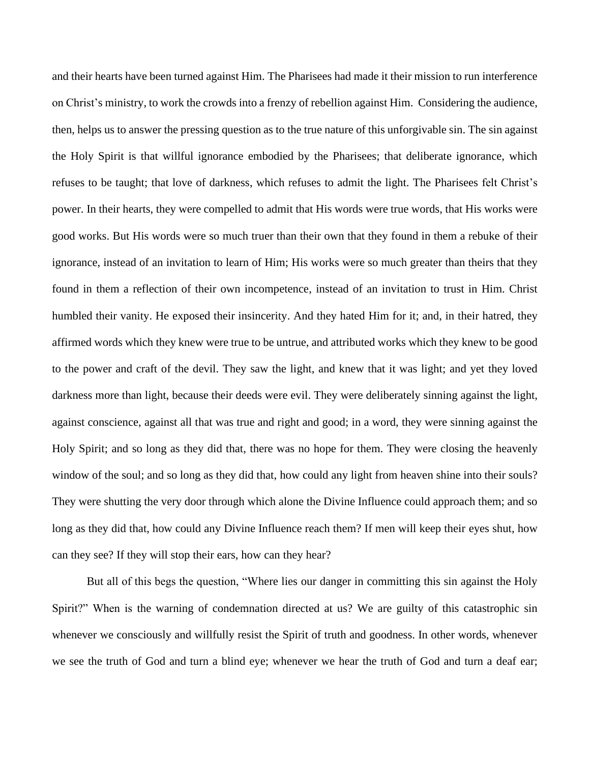and their hearts have been turned against Him. The Pharisees had made it their mission to run interference on Christ's ministry, to work the crowds into a frenzy of rebellion against Him. Considering the audience, then, helps us to answer the pressing question as to the true nature of this unforgivable sin. The sin against the Holy Spirit is that willful ignorance embodied by the Pharisees; that deliberate ignorance, which refuses to be taught; that love of darkness, which refuses to admit the light. The Pharisees felt Christ's power. In their hearts, they were compelled to admit that His words were true words, that His works were good works. But His words were so much truer than their own that they found in them a rebuke of their ignorance, instead of an invitation to learn of Him; His works were so much greater than theirs that they found in them a reflection of their own incompetence, instead of an invitation to trust in Him. Christ humbled their vanity. He exposed their insincerity. And they hated Him for it; and, in their hatred, they affirmed words which they knew were true to be untrue, and attributed works which they knew to be good to the power and craft of the devil. They saw the light, and knew that it was light; and yet they loved darkness more than light, because their deeds were evil. They were deliberately sinning against the light, against conscience, against all that was true and right and good; in a word, they were sinning against the Holy Spirit; and so long as they did that, there was no hope for them. They were closing the heavenly window of the soul; and so long as they did that, how could any light from heaven shine into their souls? They were shutting the very door through which alone the Divine Influence could approach them; and so long as they did that, how could any Divine Influence reach them? If men will keep their eyes shut, how can they see? If they will stop their ears, how can they hear?

But all of this begs the question, "Where lies our danger in committing this sin against the Holy Spirit?" When is the warning of condemnation directed at us? We are guilty of this catastrophic sin whenever we consciously and willfully resist the Spirit of truth and goodness. In other words, whenever we see the truth of God and turn a blind eye; whenever we hear the truth of God and turn a deaf ear;